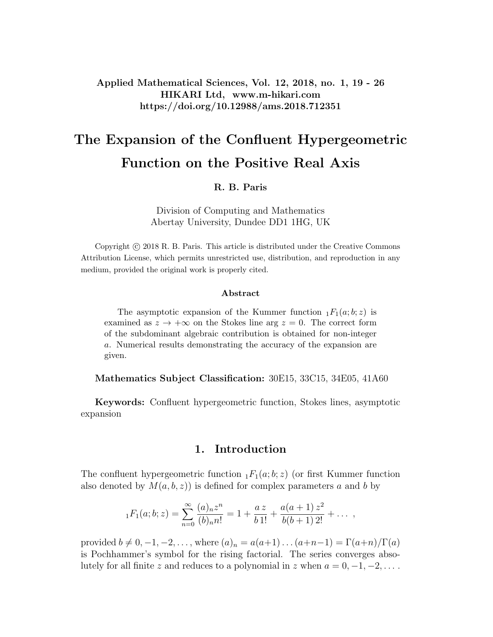### Applied Mathematical Sciences, Vol. 12, 2018, no. 1, 19 - 26 HIKARI Ltd, www.m-hikari.com https://doi.org/10.12988/ams.2018.712351

# The Expansion of the Confluent Hypergeometric Function on the Positive Real Axis

#### R. B. Paris

Division of Computing and Mathematics Abertay University, Dundee DD1 1HG, UK

Copyright © 2018 R. B. Paris. This article is distributed under the Creative Commons Attribution License, which permits unrestricted use, distribution, and reproduction in any medium, provided the original work is properly cited.

#### Abstract

The asymptotic expansion of the Kummer function  $_1F_1(a;b;z)$  is examined as  $z \to +\infty$  on the Stokes line arg  $z = 0$ . The correct form of the subdominant algebraic contribution is obtained for non-integer a. Numerical results demonstrating the accuracy of the expansion are given.

Mathematics Subject Classification: 30E15, 33C15, 34E05, 41A60

Keywords: Confluent hypergeometric function, Stokes lines, asymptotic expansion

#### 1. Introduction

The confluent hypergeometric function  $_1F_1(a;b;z)$  (or first Kummer function also denoted by  $M(a, b, z)$  is defined for complex parameters a and b by

$$
{}_1F_1(a;b;z) = \sum_{n=0}^{\infty} \frac{(a)_n z^n}{(b)_n n!} = 1 + \frac{az}{b \, 1!} + \frac{a(a+1) z^2}{b(b+1) \, 2!} + \dots
$$

provided  $b \neq 0, -1, -2, \ldots$ , where  $(a)_n = a(a+1) \ldots (a+n-1) = \Gamma(a+n)/\Gamma(a)$ is Pochhammer's symbol for the rising factorial. The series converges absolutely for all finite z and reduces to a polynomial in z when  $a = 0, -1, -2, \ldots$ .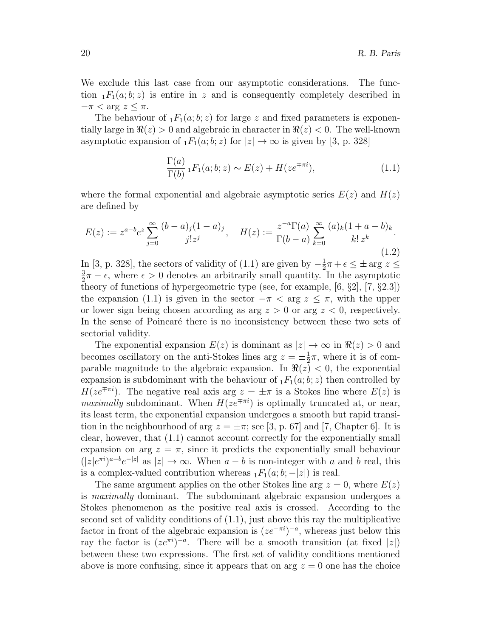We exclude this last case from our asymptotic considerations. The function  $_1F_1(a;b;z)$  is entire in z and is consequently completely described in  $-\pi < \arg z \leq \pi$ .

The behaviour of  $_1F_1(a;b;z)$  for large z and fixed parameters is exponentially large in  $\Re(z) > 0$  and algebraic in character in  $\Re(z) < 0$ . The well-known asymptotic expansion of  $_1F_1(a;b;z)$  for  $|z|\to\infty$  is given by [3, p. 328]

$$
\frac{\Gamma(a)}{\Gamma(b)} {}_1F_1(a;b;z) \sim E(z) + H(ze^{\mp \pi i}),\tag{1.1}
$$

where the formal exponential and algebraic asymptotic series  $E(z)$  and  $H(z)$ are defined by

$$
E(z) := z^{a-b} e^z \sum_{j=0}^{\infty} \frac{(b-a)_j (1-a)_j}{j! z^j}, \quad H(z) := \frac{z^{-a} \Gamma(a)}{\Gamma(b-a)} \sum_{k=0}^{\infty} \frac{(a)_k (1+a-b)_k}{k! z^k}.
$$
\n(1.2)

In [3, p. 328], the sectors of validity of (1.1) are given by  $-\frac{1}{2}$  $\frac{1}{2}\pi + \epsilon \leq \pm \arg z \leq$ 3  $\frac{3}{2}\pi - \epsilon$ , where  $\epsilon > 0$  denotes an arbitrarily small quantity. In the asymptotic theory of functions of hypergeometric type (see, for example, [6, §2], [7, §2.3]) the expansion (1.1) is given in the sector  $-\pi < \arg z \leq \pi$ , with the upper or lower sign being chosen according as arg  $z > 0$  or arg  $z < 0$ , respectively. In the sense of Poincaré there is no inconsistency between these two sets of sectorial validity.

The exponential expansion  $E(z)$  is dominant as  $|z| \to \infty$  in  $\Re(z) > 0$  and becomes oscillatory on the anti-Stokes lines arg  $z = \pm \frac{1}{2}$  $\frac{1}{2}\pi$ , where it is of comparable magnitude to the algebraic expansion. In  $\Re(z) < 0$ , the exponential expansion is subdominant with the behaviour of  $_1F_1(a; b; z)$  then controlled by  $H(ze^{\mp \pi i})$ . The negative real axis arg  $z = \pm \pi$  is a Stokes line where  $E(z)$  is *maximally* subdominant. When  $H(ze^{\mp \pi i})$  is optimally truncated at, or near, its least term, the exponential expansion undergoes a smooth but rapid transition in the neighbourhood of arg  $z = \pm \pi$ ; see [3, p. 67] and [7, Chapter 6]. It is clear, however, that (1.1) cannot account correctly for the exponentially small expansion on arg  $z = \pi$ , since it predicts the exponentially small behaviour  $(|z|e^{\pi i})^{a-b}e^{-|z|}$  as  $|z| \to \infty$ . When  $a-b$  is non-integer with a and b real, this is a complex-valued contribution whereas  $_1F_1(a; b; -|z|)$  is real.

The same argument applies on the other Stokes line arg  $z = 0$ , where  $E(z)$ is maximally dominant. The subdominant algebraic expansion undergoes a Stokes phenomenon as the positive real axis is crossed. According to the second set of validity conditions of (1.1), just above this ray the multiplicative factor in front of the algebraic expansion is  $(ze^{-\pi i})^{-a}$ , whereas just below this ray the factor is  $(ze^{\pi i})^{-a}$ . There will be a smooth transition (at fixed |z|) between these two expressions. The first set of validity conditions mentioned above is more confusing, since it appears that on arg  $z = 0$  one has the choice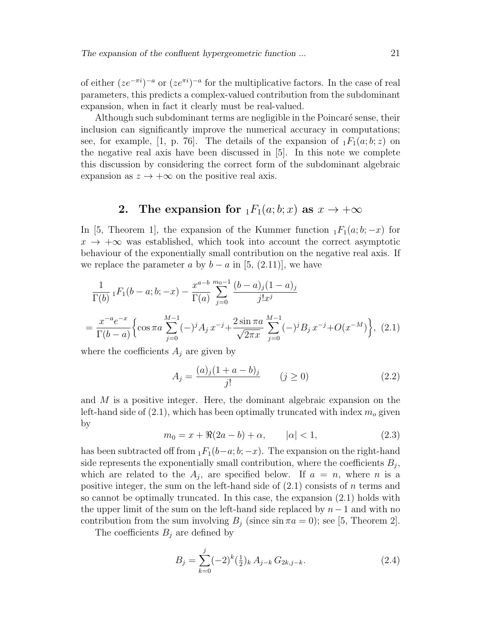of either  $(ze^{-\pi i})^{-a}$  or  $(ze^{\pi i})^{-a}$  for the multiplicative factors. In the case of real parameters, this predicts a complex-valued contribution from the subdominant expansion, when in fact it clearly must be real-valued.

Although such subdominant terms are negligible in the Poincaré sense, their inclusion can significantly improve the numerical accuracy in computations; see, for example, [1, p. 76]. The details of the expansion of  $_1F_1(a;b;z)$  on the negative real axis have been discussed in [5]. In this note we complete this discussion by considering the correct form of the subdominant algebraic expansion as  $z \to +\infty$  on the positive real axis.

## 2. The expansion for  $_1F_1(a;b;x)$  as  $x \to +\infty$

In [5, Theorem 1], the expansion of the Kummer function  $_1F_1(a;b;-x)$  for  $x \rightarrow +\infty$  was established, which took into account the correct asymptotic behaviour of the exponentially small contribution on the negative real axis. If we replace the parameter a by  $b - a$  in [5, (2.11)], we have

$$
\frac{1}{\Gamma(b)} {}_1F_1(b-a;b;-x) - \frac{x^{a-b}}{\Gamma(a)} \sum_{j=0}^{m_0-1} \frac{(b-a)_j(1-a)_j}{j!x^j}
$$
\n
$$
= \frac{x^{-a}e^{-x}}{\Gamma(b-a)} \Biggl\{ \cos \pi a \sum_{j=0}^{M-1} (-)^j A_j x^{-j} + \frac{2 \sin \pi a}{\sqrt{2\pi x}} \sum_{j=0}^{M-1} (-)^j B_j x^{-j} + O(x^{-M}) \Biggr\}, \tag{2.1}
$$

where the coefficients  $A_i$  are given by

$$
A_j = \frac{(a)_j (1 + a - b)_j}{j!} \qquad (j \ge 0)
$$
 (2.2)

and M is a positive integer. Here, the dominant algebraic expansion on the left-hand side of  $(2.1)$ , which has been optimally truncated with index  $m<sub>o</sub>$  given by

$$
m_0 = x + \Re(2a - b) + \alpha, \qquad |\alpha| < 1,\tag{2.3}
$$

has been subtracted off from  $_1F_1(b-a;b;-x)$ . The expansion on the right-hand side represents the exponentially small contribution, where the coefficients  $B_j$ , which are related to the  $A_j$ , are specified below. If  $a = n$ , where n is a positive integer, the sum on the left-hand side of  $(2.1)$  consists of n terms and so cannot be optimally truncated. In this case, the expansion (2.1) holds with the upper limit of the sum on the left-hand side replaced by  $n-1$  and with no contribution from the sum involving  $B_j$  (since  $\sin \pi a = 0$ ); see [5, Theorem 2].

The coefficients  $B_j$  are defined by

$$
B_j = \sum_{k=0}^{j} (-2)^k \left(\frac{1}{2}\right)_k A_{j-k} G_{2k,j-k}.
$$
 (2.4)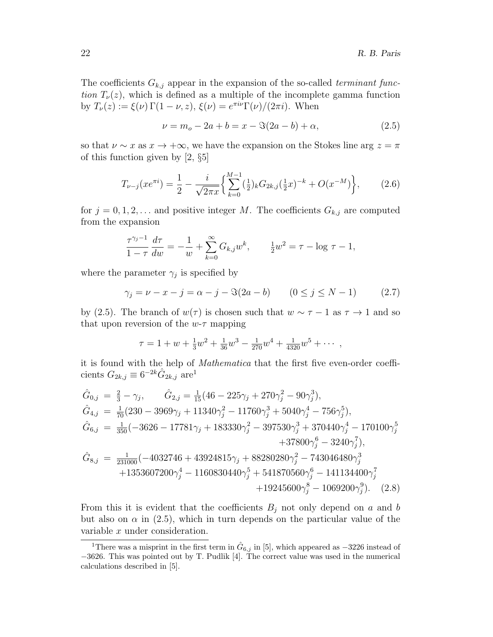The coefficients  $G_{k,j}$  appear in the expansion of the so-called terminant function  $T_{\nu}(z)$ , which is defined as a multiple of the incomplete gamma function by  $T_{\nu}(z) := \xi(\nu) \Gamma(1 - \nu, z), \xi(\nu) = e^{\pi i \nu} \Gamma(\nu) / (2\pi i)$ . When

$$
\nu = m_o - 2a + b = x - \Im(2a - b) + \alpha,\tag{2.5}
$$

so that  $\nu \sim x$  as  $x \to +\infty$ , we have the expansion on the Stokes line arg  $z = \pi$ of this function given by [2, §5]

$$
T_{\nu-j}(xe^{\pi i}) = \frac{1}{2} - \frac{i}{\sqrt{2\pi x}} \left\{ \sum_{k=0}^{M-1} \left(\frac{1}{2}\right)_k G_{2k,j} \left(\frac{1}{2}x\right)^{-k} + O(x^{-M}) \right\},\tag{2.6}
$$

for  $j = 0, 1, 2, \ldots$  and positive integer M. The coefficients  $G_{k,j}$  are computed from the expansion

$$
\frac{\tau^{\gamma_j - 1}}{1 - \tau} \frac{d\tau}{dw} = -\frac{1}{w} + \sum_{k=0}^{\infty} G_{k,j} w^k, \qquad \frac{1}{2}w^2 = \tau - \log \tau - 1,
$$

where the parameter  $\gamma_j$  is specified by

$$
\gamma_j = \nu - x - j = \alpha - j - \Im(2a - b) \qquad (0 \le j \le N - 1) \tag{2.7}
$$

by (2.5). The branch of  $w(\tau)$  is chosen such that  $w \sim \tau - 1$  as  $\tau \to 1$  and so that upon reversion of the  $w$ - $\tau$  mapping

$$
\tau = 1 + w + \frac{1}{3}w^2 + \frac{1}{36}w^3 - \frac{1}{270}w^4 + \frac{1}{4320}w^5 + \cdots,
$$

it is found with the help of Mathematica that the first five even-order coefficients  $G_{2k,j} \equiv 6^{-2k} \hat{G}_{2k,j}$  are<sup>1</sup>

$$
\begin{aligned}\n\hat{G}_{0,j} &= \frac{2}{3} - \gamma_j, & \hat{G}_{2,j} &= \frac{1}{15} (46 - 225\gamma_j + 270\gamma_j^2 - 90\gamma_j^3), \\
\hat{G}_{4,j} &= \frac{1}{70} (230 - 3969\gamma_j + 11340\gamma_j^2 - 11760\gamma_j^3 + 5040\gamma_j^4 - 756\gamma_j^5), \\
\hat{G}_{6,j} &= \frac{1}{350} (-3626 - 17781\gamma_j + 183330\gamma_j^2 - 397530\gamma_j^3 + 370440\gamma_j^4 - 170100\gamma_j^5 + 37800\gamma_j^6 - 3240\gamma_j^7), \\
\hat{G}_{8,j} &= \frac{1}{231000} (-4032746 + 43924815\gamma_j + 88280280\gamma_j^2 - 743046480\gamma_j^3 + 1353607200\gamma_j^4 - 1160830440\gamma_j^5 + 541870560\gamma_j^6 - 141134400\gamma_j^7 + 19245600\gamma_j^8 - 1069200\gamma_j^9).\n\end{aligned}
$$
\n
$$
(2.8)
$$

From this it is evident that the coefficients  $B_i$  not only depend on a and b but also on  $\alpha$  in (2.5), which in turn depends on the particular value of the variable x under consideration.

<sup>&</sup>lt;sup>1</sup>There was a misprint in the first term in  $\hat{G}_{6,j}$  in [5], which appeared as  $-3226$  instead of −3626. This was pointed out by T. Pudlik [4]. The correct value was used in the numerical calculations described in [5].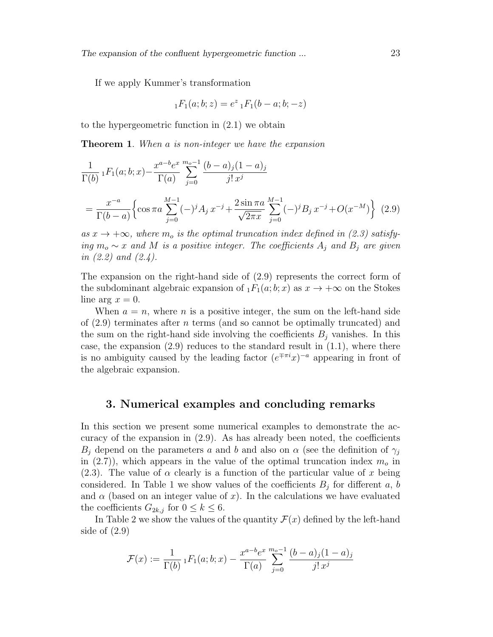If we apply Kummer's transformation

$$
{}_{1}F_{1}(a;b;z) = e^{z} {}_{1}F_{1}(b-a;b;-z)
$$

to the hypergeometric function in (2.1) we obtain

Theorem 1. When a is non-integer we have the expansion

$$
\frac{1}{\Gamma(b)} \, {}_1F_1(a;b;x) - \frac{x^{a-b}e^x}{\Gamma(a)} \sum_{j=0}^{m_0-1} \frac{(b-a)_j(1-a)_j}{j!\,x^j}
$$
\n
$$
= \frac{x^{-a}}{\Gamma(b-a)} \Biggl\{ \cos \pi a \sum_{j=0}^{M-1} (-)^j A_j \, x^{-j} + \frac{2 \sin \pi a}{\sqrt{2\pi x}} \sum_{j=0}^{M-1} (-)^j B_j \, x^{-j} + O(x^{-M}) \Biggr\} \tag{2.9}
$$

as  $x \to +\infty$ , where  $m_o$  is the optimal truncation index defined in (2.3) satisfying  $m_o \sim x$  and M is a positive integer. The coefficients  $A_j$  and  $B_j$  are given in  $(2.2)$  and  $(2.4)$ .

The expansion on the right-hand side of  $(2.9)$  represents the correct form of the subdominant algebraic expansion of  $_1F_1(a; b; x)$  as  $x \to +\infty$  on the Stokes line arg  $x = 0$ .

When  $a = n$ , where *n* is a positive integer, the sum on the left-hand side of  $(2.9)$  terminates after *n* terms (and so cannot be optimally truncated) and the sum on the right-hand side involving the coefficients  $B_i$  vanishes. In this case, the expansion  $(2.9)$  reduces to the standard result in  $(1.1)$ , where there is no ambiguity caused by the leading factor  $(e^{\mp \pi i}x)^{-a}$  appearing in front of the algebraic expansion.

#### 3. Numerical examples and concluding remarks

In this section we present some numerical examples to demonstrate the accuracy of the expansion in  $(2.9)$ . As has already been noted, the coefficients  $B_i$  depend on the parameters a and b and also on  $\alpha$  (see the definition of  $\gamma_i$ in (2.7)), which appears in the value of the optimal truncation index  $m<sub>o</sub>$  in (2.3). The value of  $\alpha$  clearly is a function of the particular value of x being considered. In Table 1 we show values of the coefficients  $B_j$  for different a, b and  $\alpha$  (based on an integer value of x). In the calculations we have evaluated the coefficients  $G_{2k,j}$  for  $0 \leq k \leq 6$ .

In Table 2 we show the values of the quantity  $\mathcal{F}(x)$  defined by the left-hand side of (2.9)

$$
\mathcal{F}(x) := \frac{1}{\Gamma(b)} \, {}_1F_1(a; b; x) - \frac{x^{a-b}e^x}{\Gamma(a)} \sum_{j=0}^{m_o - 1} \frac{(b-a)_j(1-a)_j}{j!\, x^j}
$$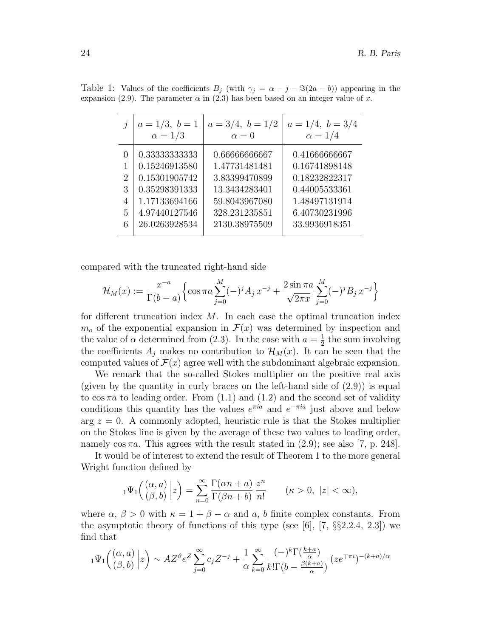| $\dot{\eta}$                                   | $a=1/3, b=1$<br>$\alpha = 1/3$                                                                     | $a = 3/4, b = 1/2$<br>$\alpha = 0$                                                                 | $a = 1/4, b = 3/4$<br>$\alpha = 1/4$                                                               |
|------------------------------------------------|----------------------------------------------------------------------------------------------------|----------------------------------------------------------------------------------------------------|----------------------------------------------------------------------------------------------------|
| $\mathcal{O}$<br>$\overline{2}$<br>3<br>4<br>5 | 0.33333333333<br>0.15246913580<br>0.15301905742<br>0.35298391333<br>1.17133694166<br>4.97440127546 | 0.66666666667<br>1.47731481481<br>3.83399470899<br>13.3434283401<br>59.8043967080<br>328.231235851 | 0.41666666667<br>0.16741898148<br>0.18232822317<br>0.44005533361<br>1.48497131914<br>6.40730231996 |
| 6                                              | 26.0263928534                                                                                      | 2130.38975509                                                                                      | 33.9936918351                                                                                      |

Table 1: Values of the coefficients  $B_j$  (with  $\gamma_j = \alpha - j - \Im(2a - b)$ ) appearing in the expansion (2.9). The parameter  $\alpha$  in (2.3) has been based on an integer value of x.

compared with the truncated right-hand side

$$
\mathcal{H}_M(x) := \frac{x^{-a}}{\Gamma(b-a)} \Big\{ \cos \pi a \sum_{j=0}^M (-)^j A_j x^{-j} + \frac{2 \sin \pi a}{\sqrt{2\pi x}} \sum_{j=0}^M (-)^j B_j x^{-j} \Big\}
$$

for different truncation index  $M$ . In each case the optimal truncation index  $m<sub>o</sub>$  of the exponential expansion in  $\mathcal{F}(x)$  was determined by inspection and the value of  $\alpha$  determined from (2.3). In the case with  $a=\frac{1}{2}$  $\frac{1}{2}$  the sum involving the coefficients  $A_j$  makes no contribution to  $\mathcal{H}_M(x)$ . It can be seen that the computed values of  $\mathcal{F}(x)$  agree well with the subdominant algebraic expansion.

We remark that the so-called Stokes multiplier on the positive real axis (given by the quantity in curly braces on the left-hand side of  $(2.9)$ ) is equal to  $\cos \pi a$  to leading order. From (1.1) and (1.2) and the second set of validity conditions this quantity has the values  $e^{\pi i a}$  and  $e^{-\pi i a}$  just above and below arg  $z = 0$ . A commonly adopted, heuristic rule is that the Stokes multiplier on the Stokes line is given by the average of these two values to leading order, namely  $\cos \pi a$ . This agrees with the result stated in (2.9); see also [7, p. 248].

It would be of interest to extend the result of Theorem 1 to the more general Wright function defined by

$$
{}_1\Psi_1\Big({(\alpha,a)\atop(\beta,b)}\Big|z\Big)=\sum_{n=0}^\infty\frac{\Gamma(\alpha n+a)}{\Gamma(\beta n+b)}\frac{z^n}{n!}\qquad(\kappa>0,\ |z|<\infty),
$$

where  $\alpha$ ,  $\beta > 0$  with  $\kappa = 1 + \beta - \alpha$  and a, b finite complex constants. From the asymptotic theory of functions of this type (see  $[6]$ ,  $[7, \S_{\&}2.2.4, 2.3]$ ) we find that

$$
{}_1\Psi_1\Big({(\alpha,a)\atop (\beta,b)}\Big|z\Big)\sim AZ^\vartheta e^Z\sum_{j=0}^\infty c_jZ^{-j}+\frac{1}{\alpha}\sum_{k=0}^\infty\frac{(-)^k\Gamma\big(\frac{k+a}{\alpha}\big)}{k!\Gamma(b-\frac{\beta(k+a)}{\alpha})}\big(ze^{\mp\pi i})^{-(k+a)/\alpha}
$$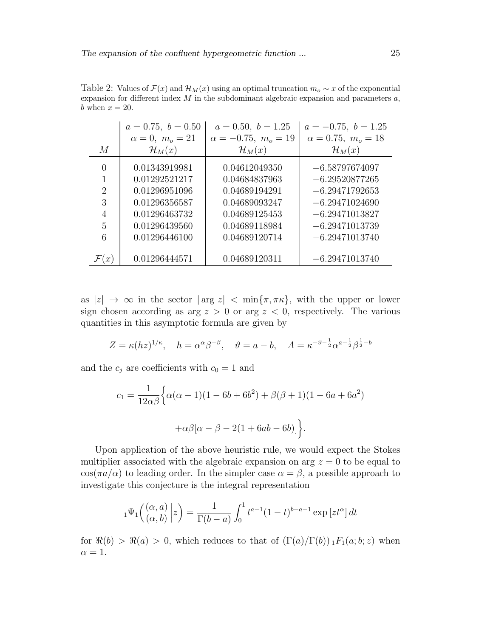|                     | $a = 0.75, b = 0.50$           | $a = 0.50, b = 1.25$           | $a = -0.75, b = 1.25$                |
|---------------------|--------------------------------|--------------------------------|--------------------------------------|
|                     | $\alpha = 0, m_o = 21$         | $\alpha = -0.75$ , $m_o = 19$  | $\alpha = 0.75, m_o = 18$            |
| M                   | $\mathcal{H}_M(x)$             | $\mathcal{H}_M(x)$             | $\mathcal{H}_M(x)$                   |
| 0                   | 0.01343919981                  | 0.04612049350                  | $-6.58797674097$                     |
| 1<br>$\overline{2}$ | 0.01292521217<br>0.01296951096 | 0.04684837963<br>0.04689194291 | $-6.29520877265$<br>$-6.29471792653$ |
| 3                   | 0.01296356587                  | 0.04689093247                  | $-6.29471024690$                     |
| $\overline{4}$      | 0.01296463732                  | 0.04689125453                  | $-6.29471013827$                     |
| 5                   | 0.01296439560                  | 0.04689118984                  | $-6.29471013739$                     |
| 6                   | 0.01296446100                  | 0.04689120714                  | $-6.29471013740$                     |
|                     | 0.01296444571                  | 0.04689120311                  | $-6.29471013740$                     |

Table 2: Values of  $\mathcal{F}(x)$  and  $\mathcal{H}_M(x)$  using an optimal truncation  $m_o \sim x$  of the exponential expansion for different index  $M$  in the subdominant algebraic expansion and parameters  $a$ , b when  $x = 20$ .

as  $|z| \to \infty$  in the sector  $|\arg z| < \min{\lbrace \pi, \pi \kappa \rbrace}$ , with the upper or lower sign chosen according as arg  $z > 0$  or arg  $z < 0$ , respectively. The various quantities in this asymptotic formula are given by

$$
Z = \kappa (hz)^{1/\kappa}, \quad h = \alpha^{\alpha} \beta^{-\beta}, \quad \vartheta = a - b, \quad A = \kappa^{-\vartheta - \frac{1}{2}} \alpha^{a - \frac{1}{2}} \beta^{\frac{1}{2} - b}
$$

and the  $c_i$  are coefficients with  $c_0 = 1$  and

$$
c_1 = \frac{1}{12\alpha\beta} \Big\{ \alpha(\alpha - 1)(1 - 6b + 6b^2) + \beta(\beta + 1)(1 - 6a + 6a^2) + \alpha\beta[\alpha - \beta - 2(1 + 6ab - 6b)] \Big\}.
$$

Upon application of the above heuristic rule, we would expect the Stokes multiplier associated with the algebraic expansion on arg  $z = 0$  to be equal to  $\cos(\pi a/\alpha)$  to leading order. In the simpler case  $\alpha = \beta$ , a possible approach to investigate this conjecture is the integral representation

$$
{}_1\Psi_1\left(\begin{matrix} (\alpha, a) \\ (\alpha, b) \end{matrix} \bigg| z\right) = \frac{1}{\Gamma(b-a)} \int_0^1 t^{a-1} (1-t)^{b-a-1} \exp\left[ z t^{\alpha} \right] dt
$$

for  $\Re(b) > \Re(a) > 0$ , which reduces to that of  $(\Gamma(a)/\Gamma(b))_1F_1(a;b;z)$  when  $\alpha = 1$ .